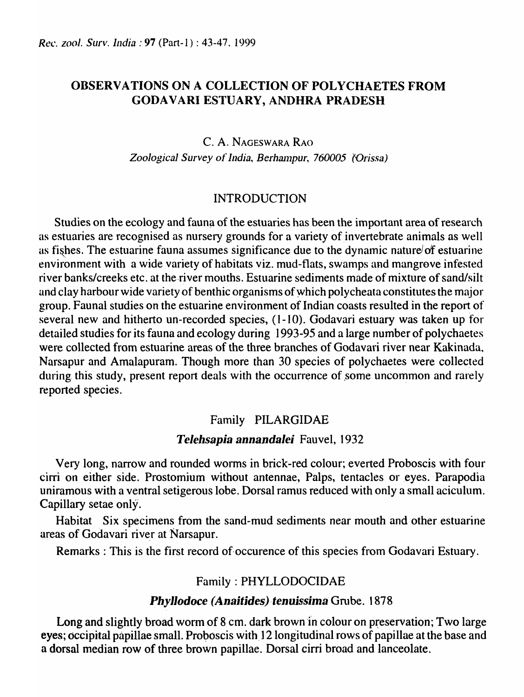## OBSERV A TIONS ON A COLLECTION OF POLYCHAETES FROM GODAVARI ESTUARY, ANDHRA PRADESH

# C. A. NAGESWARA RAO Zoological Survey of *India, Berhampur, 760005 (Orissa)*

## INTRODUCTION

Studies on the ecology and fauna of the estuaries has been the important area of research as estuaries are recognised as nursery grounds for a variety of invertebrate animals as well as fishes. The estuarine fauna assumes significance due to the dynamic nature/of estuarine environment with a wide variety of habitats viz. mud-flats, swamps and mangrove infested river banks/creeks etc. at the river mouths. Estuarine sediments made of mixture of sand/silt and clay harbour wide variety of benthic organisms of Which polycheata constitutes the major group. Faunal studies on the estuarine environment of Indian coasts resulted in the report of several new and hitherto un-recorded species, (1-10). Godavari estuary was taken up for detailed studies for its fauna and ecology during 1993-95 and a large number of polychaetes were collected from estuarine areas of the three branches of Godavari river near Kakinada, Narsapur and Amalapuram. Though more than 30 species of polychaetes were collected during this study, present report deals with the occurrence of some uncommon and rarely reported species.

## Family PILARGIDAE

### *Telehsapia annandalei* Fauvel, 1932

Very long, narrow and rounded worms in brick-red colour; everted Proboscis with four cirri on either side. Prostomium without antennae, Palps, tentacles or eyes. Parapodia uniramous with a ventral setigerous lobe. Dorsal ramus reduced with only a small aciculum. Capillary setae only.

Habitat Six specimens from the sand-mud sediments near mouth and other estuarine areas of Godavari river at Narsapur.

Remarks : This is the first record of occurence of this species from Godavari Estuary.

## Family: PHYLLODOCIDAE

## *Phyllodoce (Anaitides) tenuissima Grube.* 1878

Long and slightly broad worm of  $8 \text{ cm}$ . dark brown in colour on preservation; Two large eyes; occipital papillae small. Proboscis with 12 longitudinal rows of papillae at the base and a dorsal median row of three brown papillae. Dorsal cirri broad and lanceolate.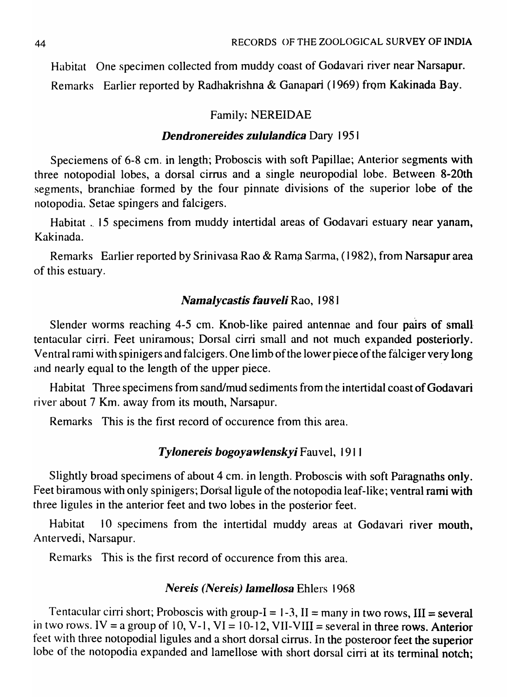Habitat One specimen collected from muddy coast of Godavari river near Narsapur. Remarks Earlier reported by Radhakrishna & Ganapari (1969) from Kakinada Bay.

### Family: NEREIDAE

### *Dendronereides zululandica* Dary 1951

Speciemens of 6-8 cm. in length; Proboscis with soft Papillae; Anterior segments with three notopodial lobes, a dorsal cirrus and a single neuropodial lobe. Between. 8-20th segments, branchiae formed by the four pinnate divisions of the superior lobe of the notopodia. Setae spingers and falcigers.

Habitat . 15 specimens from muddy intertidal areas of Godavari estuary near yanam, Kakinada.

Remarks Earlier reported by Srinivasa Rao & Rama Sarma, (1982), from Narsapur area of this estuary.

### *Namalycastis fauveli* Rao, 1981

Slender worms reaching 4-5 cm. Knob-like paired antennae and four pairs of small tentacular cirri. Feet uniramous; Dorsal cirri small and not much expanded posteriorly. Ventral rami with spinigers and falcigers. One limb of the lower piece of the falciger very long and nearly equal to the length of the upper piece.

Habitat Three specimens from sand/mud sediments from the intertidal coast of Godavari river about 7 Km. away from its mouth, Narsapur.

Remarks This is the first record of occurence from this area.

### *Tylonereis bogoyawlenskyi* Fauvel, 191 I

Slightly broad specimens of about 4 cm. in length. Proboscis with soft Paragnaths only. Feet biramous with only spinigers; Dorsal ligule of the notopodia leaf-like; ventral rami with three ligules in the anterior feet and two lobes in the posterior feet.

Habitat 10 specimens from the intertidal muddy areas at Godavari river mouth, Antervedi, Narsapur.

Remarks This is the first record of occurence from this area.

### *Nereis (Nereis) lamellosa* Ehlers 1968

Tentacular cirri short; Proboscis with group- $I = 1-3$ ,  $II =$  many in two rows,  $III =$  several in two rows. IV = a group of 10, V-1, VI = 10-12, VII-VIII = several in three rows. Anterior feet with three notopodial ligules and a short dorsal cirrus. In the posteroor feet the superior lobe of the notopodia expanded and lamellose with short dorsal cirri at its terminal notch;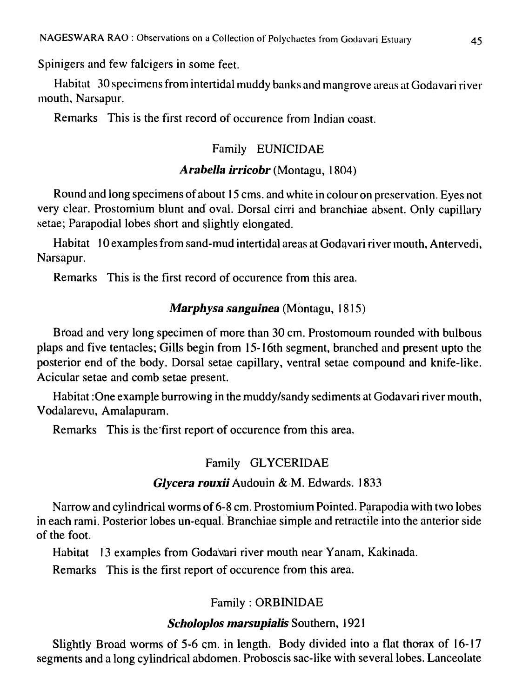Spinigers and few falcigers in some feet.

Habitat 30 specimens from intertidal muddy banks and mangrove areas at Godavari river 1110uth, Narsapur.

Remarks This is the first record of occurence from Indian coast.

# Family EUNICIDAE

# *Arabella irricobr* (Montagu, 1804)

Round and long specimens of about 15 cms. and white in colour on preservation. Eyes not very clear. Prostomium blunt and oval. Dorsal cirri and branchiae absent. Only capillary setae; Parapodial lobes short and slightly elongated.

Habitat 10 examples from sand-mud intertidal areas at Godavari river mouth, Antervedi, Narsapur.

Remarks This is the first record of occurence from this area.

# *Marphysa sanguinea* (Montagu, 1815)

Broad and very long specimen of more than 30 cm. Prostomoum rounded with bulbous plaps and five tentacles; Gills begin from 15-16th segment, branched and present upto the posterior end of the body. Dorsal setae capillary, ventral setae compound and knife-like. Acicular setae and comb setae present.

Habitat : One example burrowing in the muddy/sandy sediments at Godavari river mouth, Vodalarevu, Amalapuram.

Remarks This is the first report of occurence from this area.

## Family GLYCERIDAE

## *Glycera rouxii* Audouin &·M. Edwards. 1833

Narrow and cylindrical worms of 6-8 cm. Prostomium Pointed. Parapodia with two lobes in each rami. Posterior lobes un-equal. Branchiae simple and retractile into the anterior side of the foot.

Habitat 13 examples from Godavari river mouth near Yanam, Kakinada.

Remarks This is the first report of occurence from this area.

# Family: ORBINIDAE

## *Scholoplos marsupialis Southern, 1921*

Slightly Broad worms of 5-6 cm. in length. Body divided into a flat thorax of 16-17 segments and a long cylindrical abdomen. Proboscis sac-like with several lobes. Lanceolate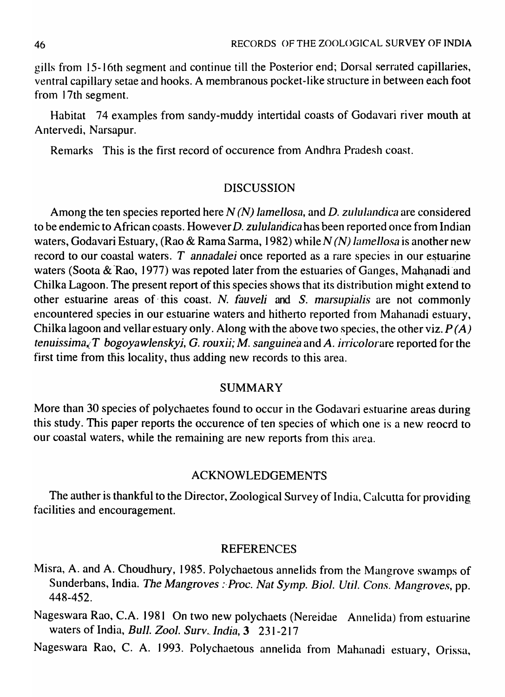gills from 15-16th segment and continue till the Posterior end; Dorsal serrated capillaries, ventral capillary setae and hooks. A membranous pocket-like structure in between each foot from 17th segment.

Habitat 74 examples from sandy-muddy intertidal coasts of Godavari river mouth at Antervedi, Narsapur.

Remarks This is the first record of occurence from Andhra Pradesh coast.

### DISCUSSION

Among the ten species reported here *N (N) lamellosa*, and *D. zululandica* are considered to be endemic to African coasts. However *D. zululandica* has been reported once from Indian waters, Godavari Estuary, (Rao & Rama Sarma, 1982) while *N* (*N*) lamellosa is another new record to our coastal waters. *T* annadalei once reported as a rare species in our estuarine waters (Soota & Rao, 1977) was repoted later from the estuaries of Ganges, Mahanadi and Chilka Lagoon. The present report of this species shows that its distribution might extend to other estuarine areas of this coast. *N. fauveli* and *S. marsupialis* are not commonly encountered species in our estuarine waters and hitherto reported from Mahanadi estuary, Chilka lagoon and vellar estuary only. Along with the above two species, the other viz.  $P(A)$ *tenuissima*<sub> $\chi$ </sub> T bogoyawlenskyi, G. rouxii; M. sanguinea and A. irricolorare reported for the first time from this locality, thus adding new records to this area.

### SUMMARY

More than 30 species of polychaetes found to occur in the Godavari estuarine areas during this study. This paper reports the occurence of ten species of which one is a new reocrd to our coastal waters, while the remaining are new reports from this area.

### ACKNOWLEDGEMENTS

The auther is thankful to the Director, Zoological Survey of India, Calcutta for providing facilities and encouragement.

#### REFERENCES

- Misra, A. and A. Choudhury, 1985. Polychaetous annelids from the Mangrove swamps of Sunderbans, India. *The Mangroves : Proc. Nat Symp. Biol. Util. Cons. Mangroves*, pp. 448-452.
- Nageswara Rao, C.A. 1981 On two new polychaets (Nereidae Annelida) from estuarine waters of India, *Bull. Zoo1. Surv .. lndia,* 3 231-217
- Nageswara Rao, C. A. 1993. Polychaetous annelida from Mahanadi estuary, Orissa,